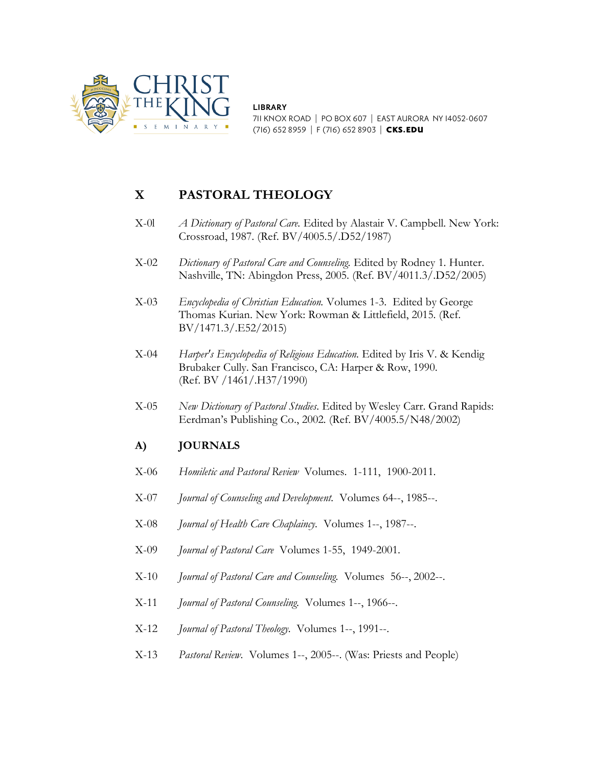

**LIBRARY** 711 KNOX ROAD | PO BOX 607 | EAST AURORA NY 14052-0607 (716) 652 8959 | F (716) 652 8903 | CKS.EDU

## **X PASTORAL THEOLOGY**

- X-0l *A Dictionary of Pastoral Care.* Edited by Alastair V. Campbell. New York: Crossroad, 1987. (Ref. BV/4005.5/.D52/1987)
- X-02 *Dictionary of Pastoral Care and Counseling.* Edited by Rodney 1. Hunter. Nashville, TN: Abingdon Press, 2005. (Ref. BV/4011.3/.D52/2005)
- X-03 *Encyclopedia of Christian Education.* Volumes 1-3. Edited by George Thomas Kurian. New York: Rowman & Littlefield, 2015. (Ref. BV/1471.3/.E52/2015)
- X-04 *Harper's Encyclopedia of Religious Education.* Edited by Iris V. & Kendig Brubaker Cully. San Francisco, CA: Harper & Row, 1990. (Ref. BV /1461/.H37/1990)
- X-05 *New Dictionary of Pastoral Studies.* Edited by Wesley Carr. Grand Rapids: Eerdman's Publishing Co., 2002. (Ref. BV/4005.5/N48/2002)

## **A) JOURNALS**

- X-06 *Homiletic and Pastoral Review* Volumes. 1-111, 1900-2011.
- X-07 *Journal of Counseling and Development.* Volumes 64--, 1985--.
- X-08 *Journal of Health Care Chaplaincy.* Volumes 1--, 1987--.
- X-09 *Journal of Pastoral Care* Volumes 1-55, 1949-2001.
- X-10 *Journal of Pastoral Care and Counseling.* Volumes 56--, 2002--.
- X-11 *Journal of Pastoral Counseling.* Volumes 1--, 1966--.
- X-12 *Journal of Pastoral Theology.* Volumes 1--, 1991--.
- X-13 *Pastoral Review.* Volumes 1--, 2005--. (Was: Priests and People)